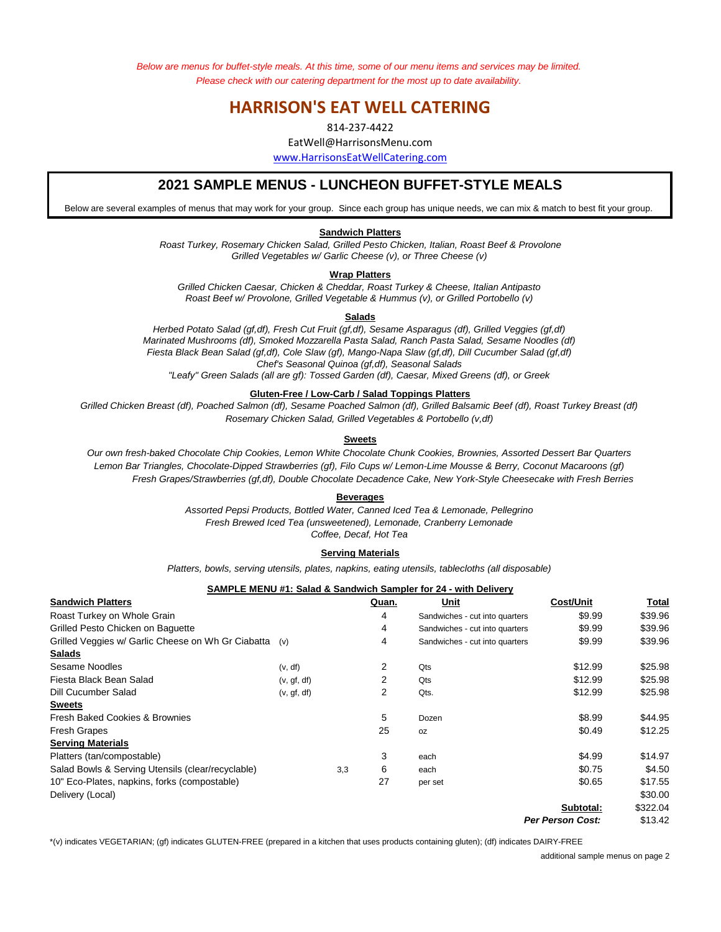*Below are menus for buffet-style meals. At this time, some of our menu items and services may be limited. Please check with our catering department for the most up to date availability.* 

# **HARRISON'S EAT WELL CATERING**

814-237-4422

EatWell@HarrisonsMenu.com

www.HarrisonsEatWellCatering.com

## **2021 SAMPLE MENUS - LUNCHEON BUFFET-STYLE MEALS**

Below are several examples of menus that may work for your group. Since each group has unique needs, we can mix & match to best fit your group.

### **Sandwich Platters**

*Grilled Vegetables w/ Garlic Cheese (v), or Three Cheese (v) Roast Turkey, Rosemary Chicken Salad, Grilled Pesto Chicken, Italian, Roast Beef & Provolone*

#### **Wrap Platters**

*Grilled Chicken Caesar, Chicken & Cheddar, Roast Turkey & Cheese, Italian Antipasto Roast Beef w/ Provolone, Grilled Vegetable & Hummus (v), or Grilled Portobello (v)*

#### **Salads**

*Marinated Mushrooms (df), Smoked Mozzarella Pasta Salad, Ranch Pasta Salad, Sesame Noodles (df) Herbed Potato Salad (gf,df), Fresh Cut Fruit (gf,df), Sesame Asparagus (df), Grilled Veggies (gf,df) Chef's Seasonal Quinoa (gf,df), Seasonal Salads "Leafy" Green Salads (all are gf): Tossed Garden (df), Caesar, Mixed Greens (df), or Greek Fiesta Black Bean Salad (gf,df), Cole Slaw (gf), Mango-Napa Slaw (gf,df), Dill Cucumber Salad (gf,df)*

## **Gluten-Free / Low-Carb / Salad Toppings Platters**

*Rosemary Chicken Salad, Grilled Vegetables & Portobello (v,df) Grilled Chicken Breast (df), Poached Salmon (df), Sesame Poached Salmon (df), Grilled Balsamic Beef (df), Roast Turkey Breast (df)*

#### **Sweets**

*Fresh Grapes/Strawberries (gf,df), Double Chocolate Decadence Cake, New York-Style Cheesecake with Fresh Berries Our own fresh-baked Chocolate Chip Cookies, Lemon White Chocolate Chunk Cookies, Brownies, Assorted Dessert Bar Quarters Lemon Bar Triangles, Chocolate-Dipped Strawberries (gf), Filo Cups w/ Lemon-Lime Mousse & Berry, Coconut Macaroons (gf)*

#### **Beverages**

*Fresh Brewed Iced Tea (unsweetened), Lemonade, Cranberry Lemonade Assorted Pepsi Products, Bottled Water, Canned Iced Tea & Lemonade, Pellegrino Coffee, Decaf, Hot Tea*

#### **Serving Materials**

*Platters, bowls, serving utensils, plates, napkins, eating utensils, tablecloths (all disposable)*

## **SAMPLE MENU #1: Salad & Sandwich Sampler for 24 - with Delivery**

| <b>Sandwich Platters</b>                           |             |     | Quan. | Unit                           | <b>Cost/Unit</b>        | Total    |
|----------------------------------------------------|-------------|-----|-------|--------------------------------|-------------------------|----------|
| Roast Turkey on Whole Grain                        |             |     | 4     | Sandwiches - cut into quarters | \$9.99                  | \$39.96  |
| Grilled Pesto Chicken on Baquette                  |             |     | 4     | Sandwiches - cut into quarters | \$9.99                  | \$39.96  |
| Grilled Veggies w/ Garlic Cheese on Wh Gr Ciabatta | (v)         |     | 4     | Sandwiches - cut into quarters | \$9.99                  | \$39.96  |
| <b>Salads</b>                                      |             |     |       |                                |                         |          |
| Sesame Noodles                                     | (v, df)     |     | 2     | Qts                            | \$12.99                 | \$25.98  |
| Fiesta Black Bean Salad                            | (v, gf, df) |     | 2     | Qts                            | \$12.99                 | \$25.98  |
| Dill Cucumber Salad                                | (v, gf, df) |     | 2     | Qts.                           | \$12.99                 | \$25.98  |
| <b>Sweets</b>                                      |             |     |       |                                |                         |          |
| Fresh Baked Cookies & Brownies                     |             |     | 5     | Dozen                          | \$8.99                  | \$44.95  |
| <b>Fresh Grapes</b>                                |             |     | 25    | <b>OZ</b>                      | \$0.49                  | \$12.25  |
| <b>Serving Materials</b>                           |             |     |       |                                |                         |          |
| Platters (tan/compostable)                         |             |     | 3     | each                           | \$4.99                  | \$14.97  |
| Salad Bowls & Serving Utensils (clear/recyclable)  |             | 3,3 | 6     | each                           | \$0.75                  | \$4.50   |
| 10" Eco-Plates, napkins, forks (compostable)       |             |     | 27    | per set                        | \$0.65                  | \$17.55  |
| Delivery (Local)                                   |             |     |       |                                |                         | \$30.00  |
|                                                    |             |     |       |                                | Subtotal:               | \$322.04 |
|                                                    |             |     |       |                                | <b>Per Person Cost:</b> | \$13.42  |

\*(v) indicates VEGETARIAN; (gf) indicates GLUTEN-FREE (prepared in a kitchen that uses products containing gluten); (df) indicates DAIRY-FREE